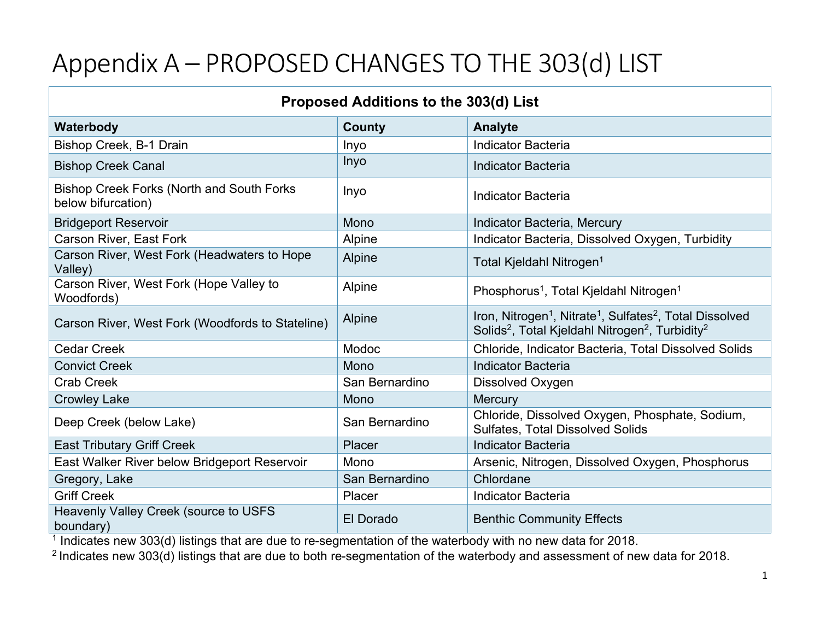## Appendix A – PROPOSED CHANGES TO THE 303(d) LIST

| Proposed Additions to the 303(d) List                                  |                |                                                                                                                                                                                     |  |  |
|------------------------------------------------------------------------|----------------|-------------------------------------------------------------------------------------------------------------------------------------------------------------------------------------|--|--|
| Waterbody                                                              | <b>County</b>  | <b>Analyte</b>                                                                                                                                                                      |  |  |
| Bishop Creek, B-1 Drain                                                | Inyo           | <b>Indicator Bacteria</b>                                                                                                                                                           |  |  |
| <b>Bishop Creek Canal</b>                                              | Inyo           | <b>Indicator Bacteria</b>                                                                                                                                                           |  |  |
| <b>Bishop Creek Forks (North and South Forks</b><br>below bifurcation) | Inyo           | <b>Indicator Bacteria</b>                                                                                                                                                           |  |  |
| <b>Bridgeport Reservoir</b>                                            | Mono           | Indicator Bacteria, Mercury                                                                                                                                                         |  |  |
| Carson River, East Fork                                                | Alpine         | Indicator Bacteria, Dissolved Oxygen, Turbidity                                                                                                                                     |  |  |
| Carson River, West Fork (Headwaters to Hope<br>Valley)                 | Alpine         | Total Kjeldahl Nitrogen <sup>1</sup>                                                                                                                                                |  |  |
| Carson River, West Fork (Hope Valley to<br>Woodfords)                  | Alpine         | Phosphorus <sup>1</sup> , Total Kjeldahl Nitrogen <sup>1</sup>                                                                                                                      |  |  |
| Carson River, West Fork (Woodfords to Stateline)                       | Alpine         | Iron, Nitrogen <sup>1</sup> , Nitrate <sup>1</sup> , Sulfates <sup>2</sup> , Total Dissolved<br>Solids <sup>2</sup> , Total Kjeldahl Nitrogen <sup>2</sup> , Turbidity <sup>2</sup> |  |  |
| <b>Cedar Creek</b>                                                     | Modoc          | Chloride, Indicator Bacteria, Total Dissolved Solids                                                                                                                                |  |  |
| <b>Convict Creek</b>                                                   | Mono           | <b>Indicator Bacteria</b>                                                                                                                                                           |  |  |
| <b>Crab Creek</b>                                                      | San Bernardino | Dissolved Oxygen                                                                                                                                                                    |  |  |
| <b>Crowley Lake</b>                                                    | Mono           | <b>Mercury</b>                                                                                                                                                                      |  |  |
| Deep Creek (below Lake)                                                | San Bernardino | Chloride, Dissolved Oxygen, Phosphate, Sodium,<br><b>Sulfates, Total Dissolved Solids</b>                                                                                           |  |  |
| <b>East Tributary Griff Creek</b>                                      | Placer         | <b>Indicator Bacteria</b>                                                                                                                                                           |  |  |
| East Walker River below Bridgeport Reservoir                           | Mono           | Arsenic, Nitrogen, Dissolved Oxygen, Phosphorus                                                                                                                                     |  |  |
| Gregory, Lake                                                          | San Bernardino | Chlordane                                                                                                                                                                           |  |  |
| <b>Griff Creek</b>                                                     | Placer         | <b>Indicator Bacteria</b>                                                                                                                                                           |  |  |
| Heavenly Valley Creek (source to USFS<br>boundary)                     | El Dorado      | <b>Benthic Community Effects</b>                                                                                                                                                    |  |  |

<sup>1</sup> Indicates new 303(d) listings that are due to re-segmentation of the waterbody with no new data for 2018.

<sup>2</sup> Indicates new 303(d) listings that are due to both re-segmentation of the waterbody and assessment of new data for 2018.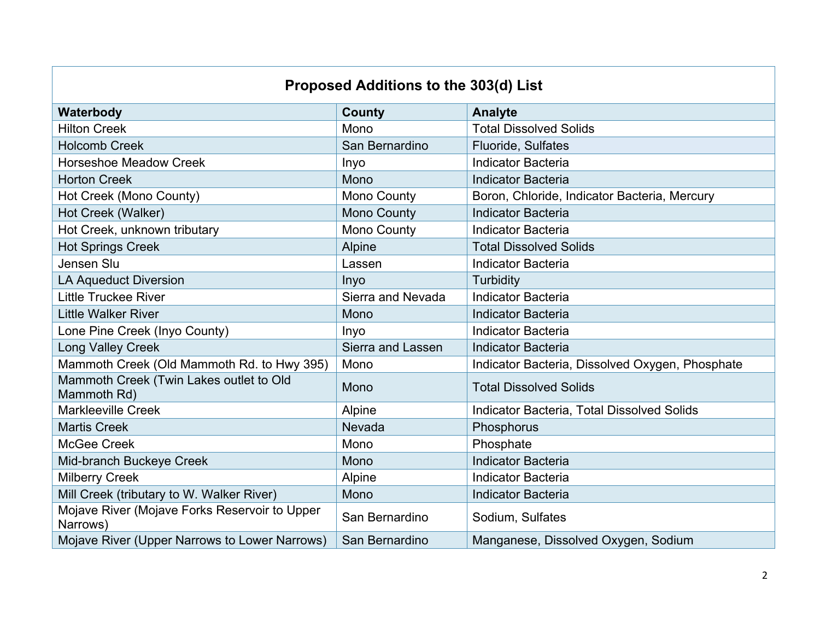## **Proposed Additions to the 303(d) List**

| Waterbody                                                 | <b>County</b>      | <b>Analyte</b>                                  |
|-----------------------------------------------------------|--------------------|-------------------------------------------------|
| <b>Hilton Creek</b>                                       | Mono               | <b>Total Dissolved Solids</b>                   |
| <b>Holcomb Creek</b>                                      | San Bernardino     | Fluoride, Sulfates                              |
| <b>Horseshoe Meadow Creek</b>                             | Inyo               | <b>Indicator Bacteria</b>                       |
| <b>Horton Creek</b>                                       | Mono               | <b>Indicator Bacteria</b>                       |
| Hot Creek (Mono County)                                   | <b>Mono County</b> | Boron, Chloride, Indicator Bacteria, Mercury    |
| Hot Creek (Walker)                                        | <b>Mono County</b> | <b>Indicator Bacteria</b>                       |
| Hot Creek, unknown tributary                              | <b>Mono County</b> | <b>Indicator Bacteria</b>                       |
| <b>Hot Springs Creek</b>                                  | <b>Alpine</b>      | <b>Total Dissolved Solids</b>                   |
| Jensen Slu                                                | Lassen             | <b>Indicator Bacteria</b>                       |
| <b>LA Aqueduct Diversion</b>                              | Inyo               | Turbidity                                       |
| <b>Little Truckee River</b>                               | Sierra and Nevada  | <b>Indicator Bacteria</b>                       |
| <b>Little Walker River</b>                                | Mono               | <b>Indicator Bacteria</b>                       |
| Lone Pine Creek (Inyo County)                             | Inyo               | <b>Indicator Bacteria</b>                       |
| <b>Long Valley Creek</b>                                  | Sierra and Lassen  | <b>Indicator Bacteria</b>                       |
| Mammoth Creek (Old Mammoth Rd. to Hwy 395)                | Mono               | Indicator Bacteria, Dissolved Oxygen, Phosphate |
| Mammoth Creek (Twin Lakes outlet to Old<br>Mammoth Rd)    | Mono               | <b>Total Dissolved Solids</b>                   |
| <b>Markleeville Creek</b>                                 | Alpine             | Indicator Bacteria, Total Dissolved Solids      |
| <b>Martis Creek</b>                                       | Nevada             | Phosphorus                                      |
| McGee Creek                                               | Mono               | Phosphate                                       |
| Mid-branch Buckeye Creek                                  | Mono               | <b>Indicator Bacteria</b>                       |
| <b>Milberry Creek</b>                                     | Alpine             | <b>Indicator Bacteria</b>                       |
| Mill Creek (tributary to W. Walker River)                 | Mono               | <b>Indicator Bacteria</b>                       |
| Mojave River (Mojave Forks Reservoir to Upper<br>Narrows) | San Bernardino     | Sodium, Sulfates                                |
| Mojave River (Upper Narrows to Lower Narrows)             | San Bernardino     | Manganese, Dissolved Oxygen, Sodium             |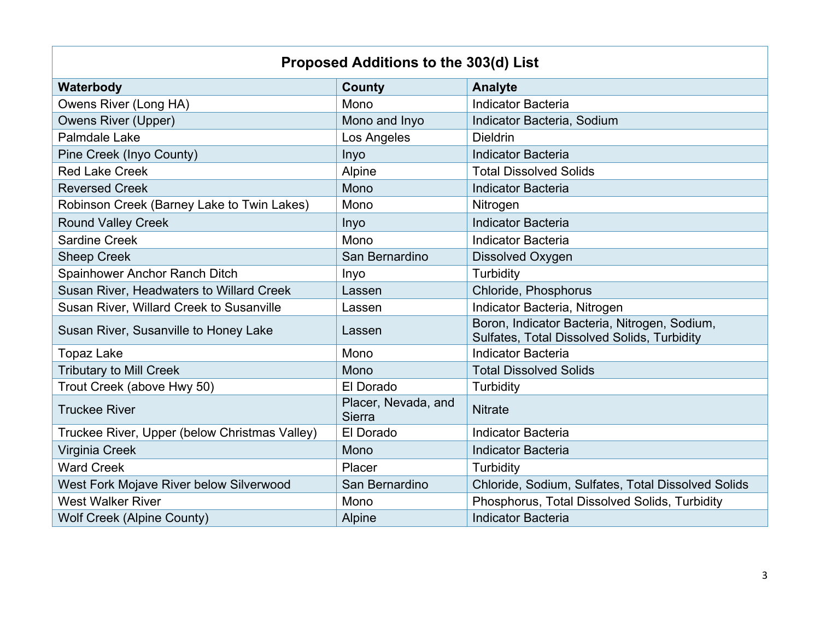| Proposed Additions to the 303(d) List           |                                      |                                                                                             |  |  |  |
|-------------------------------------------------|--------------------------------------|---------------------------------------------------------------------------------------------|--|--|--|
|                                                 |                                      |                                                                                             |  |  |  |
| Waterbody                                       | <b>County</b>                        | <b>Analyte</b>                                                                              |  |  |  |
| Owens River (Long HA)                           | Mono                                 | <b>Indicator Bacteria</b>                                                                   |  |  |  |
| <b>Owens River (Upper)</b>                      | Mono and Inyo                        | Indicator Bacteria, Sodium                                                                  |  |  |  |
| Palmdale Lake                                   | Los Angeles                          | <b>Dieldrin</b>                                                                             |  |  |  |
| Pine Creek (Inyo County)                        | Inyo                                 | <b>Indicator Bacteria</b>                                                                   |  |  |  |
| <b>Red Lake Creek</b>                           | Alpine                               | <b>Total Dissolved Solids</b>                                                               |  |  |  |
| <b>Reversed Creek</b>                           | Mono                                 | <b>Indicator Bacteria</b>                                                                   |  |  |  |
| Robinson Creek (Barney Lake to Twin Lakes)      | Mono                                 | Nitrogen                                                                                    |  |  |  |
| <b>Round Valley Creek</b>                       | Inyo                                 | <b>Indicator Bacteria</b>                                                                   |  |  |  |
| <b>Sardine Creek</b>                            | Mono                                 | <b>Indicator Bacteria</b>                                                                   |  |  |  |
| <b>Sheep Creek</b>                              | San Bernardino                       | <b>Dissolved Oxygen</b>                                                                     |  |  |  |
| Spainhower Anchor Ranch Ditch                   | Inyo                                 | Turbidity                                                                                   |  |  |  |
| <b>Susan River, Headwaters to Willard Creek</b> | Lassen                               | Chloride, Phosphorus                                                                        |  |  |  |
| Susan River, Willard Creek to Susanville        | Lassen                               | Indicator Bacteria, Nitrogen                                                                |  |  |  |
| Susan River, Susanville to Honey Lake           | Lassen                               | Boron, Indicator Bacteria, Nitrogen, Sodium,<br>Sulfates, Total Dissolved Solids, Turbidity |  |  |  |
| <b>Topaz Lake</b>                               | Mono                                 | <b>Indicator Bacteria</b>                                                                   |  |  |  |
| <b>Tributary to Mill Creek</b>                  | Mono                                 | <b>Total Dissolved Solids</b>                                                               |  |  |  |
| Trout Creek (above Hwy 50)                      | El Dorado                            | Turbidity                                                                                   |  |  |  |
| <b>Truckee River</b>                            | Placer, Nevada, and<br><b>Sierra</b> | <b>Nitrate</b>                                                                              |  |  |  |
| Truckee River, Upper (below Christmas Valley)   | El Dorado                            | <b>Indicator Bacteria</b>                                                                   |  |  |  |
| Virginia Creek                                  | Mono                                 | <b>Indicator Bacteria</b>                                                                   |  |  |  |
| <b>Ward Creek</b>                               | Placer                               | Turbidity                                                                                   |  |  |  |
| West Fork Mojave River below Silverwood         | San Bernardino                       | Chloride, Sodium, Sulfates, Total Dissolved Solids                                          |  |  |  |
| <b>West Walker River</b>                        | Mono                                 | Phosphorus, Total Dissolved Solids, Turbidity                                               |  |  |  |
| <b>Wolf Creek (Alpine County)</b>               | Alpine                               | <b>Indicator Bacteria</b>                                                                   |  |  |  |